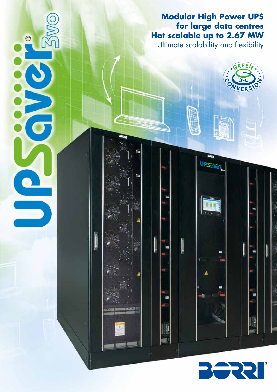**Modular High Power UPS for large data centres Hot scalable up to 2.67 MW** 

Ultimate scalability and flexibility

**UPS** 

I

REEA

L

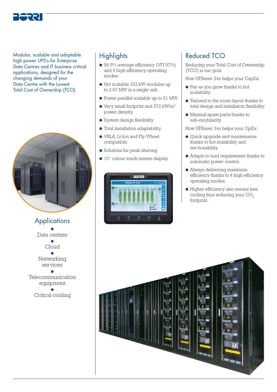

Modular, scalable and adaptable high power UPS's for Enterprise Data Centres and IT business critical applications, designed for the changing demands of your Data Centre with the Lowest Total Cost of Ownership (TCO).



**Applications** ● Data centres ● Cloud ● Networking services ● Telecommunication equipment ● Critical cooling

# **Highlights**

- 98.5% average efficiency (VFI 97%) and 4 high efficiency operating modes.
- Hot scalable 333 kW modules up to 2.67 MW in a single unit.
- Power parallel scalable up to 21 MW.
- $\bullet$  Very small footprint and 572 kW/m<sup>2</sup> power density.
- System design flexibility.
- Total installation adaptability.
- VRLA, Li-Ion and Fly-Wheel compatible.
- Solutions for peak shaving.
- 10'' colour touch screen display.



# Reduced TCO

Reducing your Total Cost of Ownership (TCO) is our goal.

How UPSaver 3vo helps your CapEx:

- Pay as you grow thanks to hot scalability.
- Tailored to the room layout thanks to total design and installation flexibility.
- Minimal spare parts thanks to sub-modularity.

How UPSaver 3vo helps your OpEx:

- Quick upgrade and maintenance thanks to hot scalability and serviceability.
- Adapts to load requirement thanks to automatic power control.
- Always delivering maximum efficiency thanks to 4 high efficiency operating modes.
- Higher efficiency also means less cooling thus reducing your CO<sub>2</sub> footprint.

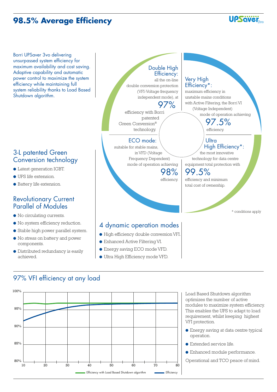# **98.5% Average Efficiency**

Borri UPSaver 3vo delivering unsurpassed system efficiency for maximum availability and cost saving. Adaptive capability and automatic power control to maximize the system efficiency while maintaining full system reliability thanks to Load Based Shutdown algorithm.

## 3-L patented Green Conversion technology

- Latest generation IGBT.
- UPS life extension.
- Battery life extension.

## Revolutionary Current Parallel of Modules

- No circulating currents.
- No system efficiency reduction.
- Stable high power parallel system.
- No stress on battery and power components.
- Distributed redundancy is easily achieved.



- **Energy saving ECO mode VFD.**
- Ultra High Efficiency mode VFD.

# 97% VFI efficiency at any load



Load Based Shutdown algorithm optimizes the number of active modules to maximize system efficiency. This enables the UPS to adapt to load requirement, whilst keeping highest VFI protection.

**UPSävei** 

- Energy saving at data centre typical operation.
- Extended service life.
- Enhanced module performance.
- Operational and TCO peace of mind.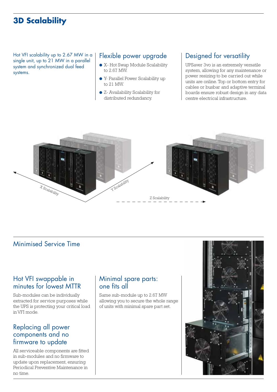# **3D Scalability**

Hot VFI scalability up to 2.67 MW in a single unit, up to 21 MW in a parallel system and synchronized dual feed systems.

### Flexible power upgrade

- X- Hot Swap Module Scalability to 2.67 MW.
- Y- Parallel Power Scalability up to 21 MW.
- Z- Availability Scalability for distributed redundancy.

# Designed for versatility

UPSaver 3vo is an extremely versatile system, allowing for any maintenance or power resizing to be carried out while units are online. Top or bottom entry for cables or busbar and adaptive terminal boards ensure robust design in any data centre electrical infrastructure.



# Minimised Service Time

### Hot VFI swappable in minutes for lowest MTTR

Sub-modules can be individually extracted for service purposes while the UPS is protecting your critical load in VFI mode.

## Replacing all power components and no firmware to update

All serviceable components are fitted in sub-modules and no firmware to update upon replacement, ensuring Periodical Preventive Maintenance in no time.

## Minimal spare parts: one fits all

Same sub-module up to 2.67 MW allowing you to secure the whole range of units with minimal spare part set.

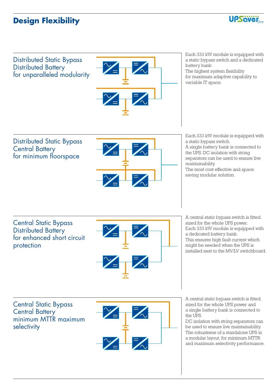# **Design Flexibility**



Distributed Static Bypass Distributed Battery for unparalleled modularity



Each 333 kW module is equipped with a static bypass switch and a dedicated battery bank.

The highest system flexibility for maximum adaptive capability to variable IT space.

Distributed Static Bypass Central Battery for minimum floorspace



Each 333 kW module is equipped with a static bypass switch. A single battery bank is connected to the UPS. DC isolation with string separators can be used to ensure live maintainability. The most cost effective and space saving modular solution.

Central Static Bypass Distributed Battery for enhanced short circuit protection



A central static bypass switch is fitted, sized for the whole UPS power. Each 333 kW module is equipped with a dedicated battery bank. This ensures high fault current which might be needed when the UPS is installed next to the MV/LV switchboard.

Central Static Bypass Central Battery minimum MTTR maximum selectivity



A central static bypass switch is fitted, sized for the whole UPS power and a single battery bank is connected to the UPS.

DC isolation with string separators can be used to ensure live maintainability. The robustness of a standalone UPS in a modular layout, for minimum MTTR and maximum selectivity performance.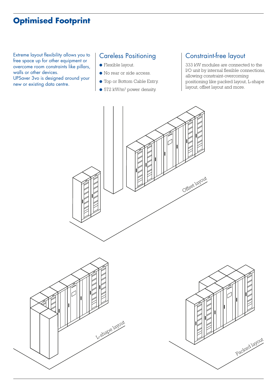# **Optimised Footprint**

Extreme layout flexibility allows you to free space up for other equipment or overcome room constraints like pillars, walls or other devices.

UPSaver 3vo is designed around your new or existing data centre.

## Careless Positioning

- Flexible layout.
- No rear or side access.
- Top or Bottom Cable Entry.
- 572 kW/m<sup>2</sup> power density.

# Constraint-free layout

333 kW modules are connected to the I/O unit by internal flexible connections, allowing constraint-overcoming positioning like packed layout, L-shape layout, offset layout and more.





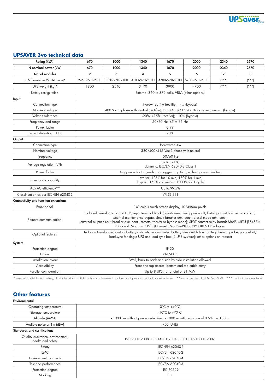

### **UPSAVER 3vo technical data**

| N nominal power (kW)<br>670<br>1000<br>1340<br>1670<br>2000<br>2340<br>2670<br>No. of modules<br>$\mathbf{2}$<br>3<br>4<br>5<br>6<br>$\overline{7}$<br>8<br>4100x970x2100<br>UPS dimensions WxDxH (mm)*<br>2450x970x2100<br>3050x970x2100<br>4700x970x2100<br>5700x970x2100<br>$(* * *")$<br>$(* * *")$<br>3170<br>3900<br>4700<br>$(* * * )$<br>$(* * *")$<br>UPS weight (kg)*<br>1800<br>2540<br>External 360 to 372 cells, VRLA (other options)<br>Battery configuration<br>Input<br>Hardwired 4w (rectifier), 4w (bypass)<br>Connection type<br>400 Vac 3-phase with neutral (rectifier), 380/400/415 Vac 3-phase with neutral (bypass)<br>Nominal voltage<br>Voltage tolerance<br>$-20\%$ , $+15\%$ (rectifier); $\pm 10\%$ (bypass)<br>50/60 Hz, 45 to 65 Hz<br>Frequency and range<br>Power factor<br>0.99<br>Current distortion (THDi)<br>$~13\%$<br>Output<br>Hardwired 4w<br>Connection type<br>380/400/415 Vac 3-phase with neutral<br>Nominal voltage<br>50/60 Hz<br>Frequency<br>Static: $\pm 1\%$ ;<br>Voltage regulation (VFI)<br>dynamic: IEC/EN 62040-3 Class 1<br>Power factor<br>Any power factor (leading or lagging) up to 1, without power derating<br>Inverter: 125% for 10 min, 150% for 1 min;<br>Overload capability<br>bypass: 150% continuous, 1000% for 1 cycle<br>AC/AC efficiency**<br>Up to 99.5%<br><b>VFI-SS-111</b><br>Classification as per IEC/EN 62040-3<br>10" colour touch screen display, 1024x600 pixels<br>Front panel<br>Included: serial RS232 and USB; input terminal block (remote emergency power off, battery circuit breaker aux. cont.,<br>external maintenance bypass circuit breaker aux. cont., diesel mode aux. cont.,<br>Remote communication<br>external output circuit breaker aux. cont., remote transfer to bypass mode); SPDT contact relay board; ModBus-RTU (RS485);<br>Optional: ModBus-TCP/IP (Ethernet); ModBus-RTU to PROFIBUS DP adapter<br>Isolation transformer; custom battery cabinets; wall-mounted battery fuse switch box; battery thermal probe; parallel kit;<br>Optional features<br>load-sync for single UPS and load-sync box (2 UPS systems); other options on request<br>System<br><b>IP 20</b><br>Protection degree<br><b>RAL 9005</b><br>Colour<br>Wall, back to back and side by side installation allowed<br>Installation layout<br>Front and top access, bottom and top cable entry<br>Accessibility<br>Parallel configuration<br>Up to 8 UPS, for a total of 21 MW | <b>Rating (kVA)</b>                  | 670 | 1000 | 1340 | 1670 | 2000 | 2340 | 2670 |  |
|------------------------------------------------------------------------------------------------------------------------------------------------------------------------------------------------------------------------------------------------------------------------------------------------------------------------------------------------------------------------------------------------------------------------------------------------------------------------------------------------------------------------------------------------------------------------------------------------------------------------------------------------------------------------------------------------------------------------------------------------------------------------------------------------------------------------------------------------------------------------------------------------------------------------------------------------------------------------------------------------------------------------------------------------------------------------------------------------------------------------------------------------------------------------------------------------------------------------------------------------------------------------------------------------------------------------------------------------------------------------------------------------------------------------------------------------------------------------------------------------------------------------------------------------------------------------------------------------------------------------------------------------------------------------------------------------------------------------------------------------------------------------------------------------------------------------------------------------------------------------------------------------------------------------------------------------------------------------------------------------------------------------------------------------------------------------------------------------------------------------------------------------------------------------------------------------------------------------------------------------------------------------------------------------------------------------------------------------------------------------------------------------------------------------------------------------------------|--------------------------------------|-----|------|------|------|------|------|------|--|
|                                                                                                                                                                                                                                                                                                                                                                                                                                                                                                                                                                                                                                                                                                                                                                                                                                                                                                                                                                                                                                                                                                                                                                                                                                                                                                                                                                                                                                                                                                                                                                                                                                                                                                                                                                                                                                                                                                                                                                                                                                                                                                                                                                                                                                                                                                                                                                                                                                                            |                                      |     |      |      |      |      |      |      |  |
|                                                                                                                                                                                                                                                                                                                                                                                                                                                                                                                                                                                                                                                                                                                                                                                                                                                                                                                                                                                                                                                                                                                                                                                                                                                                                                                                                                                                                                                                                                                                                                                                                                                                                                                                                                                                                                                                                                                                                                                                                                                                                                                                                                                                                                                                                                                                                                                                                                                            |                                      |     |      |      |      |      |      |      |  |
|                                                                                                                                                                                                                                                                                                                                                                                                                                                                                                                                                                                                                                                                                                                                                                                                                                                                                                                                                                                                                                                                                                                                                                                                                                                                                                                                                                                                                                                                                                                                                                                                                                                                                                                                                                                                                                                                                                                                                                                                                                                                                                                                                                                                                                                                                                                                                                                                                                                            |                                      |     |      |      |      |      |      |      |  |
|                                                                                                                                                                                                                                                                                                                                                                                                                                                                                                                                                                                                                                                                                                                                                                                                                                                                                                                                                                                                                                                                                                                                                                                                                                                                                                                                                                                                                                                                                                                                                                                                                                                                                                                                                                                                                                                                                                                                                                                                                                                                                                                                                                                                                                                                                                                                                                                                                                                            |                                      |     |      |      |      |      |      |      |  |
|                                                                                                                                                                                                                                                                                                                                                                                                                                                                                                                                                                                                                                                                                                                                                                                                                                                                                                                                                                                                                                                                                                                                                                                                                                                                                                                                                                                                                                                                                                                                                                                                                                                                                                                                                                                                                                                                                                                                                                                                                                                                                                                                                                                                                                                                                                                                                                                                                                                            |                                      |     |      |      |      |      |      |      |  |
|                                                                                                                                                                                                                                                                                                                                                                                                                                                                                                                                                                                                                                                                                                                                                                                                                                                                                                                                                                                                                                                                                                                                                                                                                                                                                                                                                                                                                                                                                                                                                                                                                                                                                                                                                                                                                                                                                                                                                                                                                                                                                                                                                                                                                                                                                                                                                                                                                                                            |                                      |     |      |      |      |      |      |      |  |
|                                                                                                                                                                                                                                                                                                                                                                                                                                                                                                                                                                                                                                                                                                                                                                                                                                                                                                                                                                                                                                                                                                                                                                                                                                                                                                                                                                                                                                                                                                                                                                                                                                                                                                                                                                                                                                                                                                                                                                                                                                                                                                                                                                                                                                                                                                                                                                                                                                                            |                                      |     |      |      |      |      |      |      |  |
|                                                                                                                                                                                                                                                                                                                                                                                                                                                                                                                                                                                                                                                                                                                                                                                                                                                                                                                                                                                                                                                                                                                                                                                                                                                                                                                                                                                                                                                                                                                                                                                                                                                                                                                                                                                                                                                                                                                                                                                                                                                                                                                                                                                                                                                                                                                                                                                                                                                            |                                      |     |      |      |      |      |      |      |  |
|                                                                                                                                                                                                                                                                                                                                                                                                                                                                                                                                                                                                                                                                                                                                                                                                                                                                                                                                                                                                                                                                                                                                                                                                                                                                                                                                                                                                                                                                                                                                                                                                                                                                                                                                                                                                                                                                                                                                                                                                                                                                                                                                                                                                                                                                                                                                                                                                                                                            |                                      |     |      |      |      |      |      |      |  |
|                                                                                                                                                                                                                                                                                                                                                                                                                                                                                                                                                                                                                                                                                                                                                                                                                                                                                                                                                                                                                                                                                                                                                                                                                                                                                                                                                                                                                                                                                                                                                                                                                                                                                                                                                                                                                                                                                                                                                                                                                                                                                                                                                                                                                                                                                                                                                                                                                                                            |                                      |     |      |      |      |      |      |      |  |
|                                                                                                                                                                                                                                                                                                                                                                                                                                                                                                                                                                                                                                                                                                                                                                                                                                                                                                                                                                                                                                                                                                                                                                                                                                                                                                                                                                                                                                                                                                                                                                                                                                                                                                                                                                                                                                                                                                                                                                                                                                                                                                                                                                                                                                                                                                                                                                                                                                                            |                                      |     |      |      |      |      |      |      |  |
|                                                                                                                                                                                                                                                                                                                                                                                                                                                                                                                                                                                                                                                                                                                                                                                                                                                                                                                                                                                                                                                                                                                                                                                                                                                                                                                                                                                                                                                                                                                                                                                                                                                                                                                                                                                                                                                                                                                                                                                                                                                                                                                                                                                                                                                                                                                                                                                                                                                            |                                      |     |      |      |      |      |      |      |  |
|                                                                                                                                                                                                                                                                                                                                                                                                                                                                                                                                                                                                                                                                                                                                                                                                                                                                                                                                                                                                                                                                                                                                                                                                                                                                                                                                                                                                                                                                                                                                                                                                                                                                                                                                                                                                                                                                                                                                                                                                                                                                                                                                                                                                                                                                                                                                                                                                                                                            |                                      |     |      |      |      |      |      |      |  |
|                                                                                                                                                                                                                                                                                                                                                                                                                                                                                                                                                                                                                                                                                                                                                                                                                                                                                                                                                                                                                                                                                                                                                                                                                                                                                                                                                                                                                                                                                                                                                                                                                                                                                                                                                                                                                                                                                                                                                                                                                                                                                                                                                                                                                                                                                                                                                                                                                                                            |                                      |     |      |      |      |      |      |      |  |
|                                                                                                                                                                                                                                                                                                                                                                                                                                                                                                                                                                                                                                                                                                                                                                                                                                                                                                                                                                                                                                                                                                                                                                                                                                                                                                                                                                                                                                                                                                                                                                                                                                                                                                                                                                                                                                                                                                                                                                                                                                                                                                                                                                                                                                                                                                                                                                                                                                                            |                                      |     |      |      |      |      |      |      |  |
|                                                                                                                                                                                                                                                                                                                                                                                                                                                                                                                                                                                                                                                                                                                                                                                                                                                                                                                                                                                                                                                                                                                                                                                                                                                                                                                                                                                                                                                                                                                                                                                                                                                                                                                                                                                                                                                                                                                                                                                                                                                                                                                                                                                                                                                                                                                                                                                                                                                            |                                      |     |      |      |      |      |      |      |  |
|                                                                                                                                                                                                                                                                                                                                                                                                                                                                                                                                                                                                                                                                                                                                                                                                                                                                                                                                                                                                                                                                                                                                                                                                                                                                                                                                                                                                                                                                                                                                                                                                                                                                                                                                                                                                                                                                                                                                                                                                                                                                                                                                                                                                                                                                                                                                                                                                                                                            |                                      |     |      |      |      |      |      |      |  |
|                                                                                                                                                                                                                                                                                                                                                                                                                                                                                                                                                                                                                                                                                                                                                                                                                                                                                                                                                                                                                                                                                                                                                                                                                                                                                                                                                                                                                                                                                                                                                                                                                                                                                                                                                                                                                                                                                                                                                                                                                                                                                                                                                                                                                                                                                                                                                                                                                                                            |                                      |     |      |      |      |      |      |      |  |
|                                                                                                                                                                                                                                                                                                                                                                                                                                                                                                                                                                                                                                                                                                                                                                                                                                                                                                                                                                                                                                                                                                                                                                                                                                                                                                                                                                                                                                                                                                                                                                                                                                                                                                                                                                                                                                                                                                                                                                                                                                                                                                                                                                                                                                                                                                                                                                                                                                                            |                                      |     |      |      |      |      |      |      |  |
|                                                                                                                                                                                                                                                                                                                                                                                                                                                                                                                                                                                                                                                                                                                                                                                                                                                                                                                                                                                                                                                                                                                                                                                                                                                                                                                                                                                                                                                                                                                                                                                                                                                                                                                                                                                                                                                                                                                                                                                                                                                                                                                                                                                                                                                                                                                                                                                                                                                            |                                      |     |      |      |      |      |      |      |  |
|                                                                                                                                                                                                                                                                                                                                                                                                                                                                                                                                                                                                                                                                                                                                                                                                                                                                                                                                                                                                                                                                                                                                                                                                                                                                                                                                                                                                                                                                                                                                                                                                                                                                                                                                                                                                                                                                                                                                                                                                                                                                                                                                                                                                                                                                                                                                                                                                                                                            |                                      |     |      |      |      |      |      |      |  |
|                                                                                                                                                                                                                                                                                                                                                                                                                                                                                                                                                                                                                                                                                                                                                                                                                                                                                                                                                                                                                                                                                                                                                                                                                                                                                                                                                                                                                                                                                                                                                                                                                                                                                                                                                                                                                                                                                                                                                                                                                                                                                                                                                                                                                                                                                                                                                                                                                                                            | Connectivity and function extensions |     |      |      |      |      |      |      |  |
|                                                                                                                                                                                                                                                                                                                                                                                                                                                                                                                                                                                                                                                                                                                                                                                                                                                                                                                                                                                                                                                                                                                                                                                                                                                                                                                                                                                                                                                                                                                                                                                                                                                                                                                                                                                                                                                                                                                                                                                                                                                                                                                                                                                                                                                                                                                                                                                                                                                            |                                      |     |      |      |      |      |      |      |  |
|                                                                                                                                                                                                                                                                                                                                                                                                                                                                                                                                                                                                                                                                                                                                                                                                                                                                                                                                                                                                                                                                                                                                                                                                                                                                                                                                                                                                                                                                                                                                                                                                                                                                                                                                                                                                                                                                                                                                                                                                                                                                                                                                                                                                                                                                                                                                                                                                                                                            |                                      |     |      |      |      |      |      |      |  |
|                                                                                                                                                                                                                                                                                                                                                                                                                                                                                                                                                                                                                                                                                                                                                                                                                                                                                                                                                                                                                                                                                                                                                                                                                                                                                                                                                                                                                                                                                                                                                                                                                                                                                                                                                                                                                                                                                                                                                                                                                                                                                                                                                                                                                                                                                                                                                                                                                                                            |                                      |     |      |      |      |      |      |      |  |
|                                                                                                                                                                                                                                                                                                                                                                                                                                                                                                                                                                                                                                                                                                                                                                                                                                                                                                                                                                                                                                                                                                                                                                                                                                                                                                                                                                                                                                                                                                                                                                                                                                                                                                                                                                                                                                                                                                                                                                                                                                                                                                                                                                                                                                                                                                                                                                                                                                                            |                                      |     |      |      |      |      |      |      |  |
|                                                                                                                                                                                                                                                                                                                                                                                                                                                                                                                                                                                                                                                                                                                                                                                                                                                                                                                                                                                                                                                                                                                                                                                                                                                                                                                                                                                                                                                                                                                                                                                                                                                                                                                                                                                                                                                                                                                                                                                                                                                                                                                                                                                                                                                                                                                                                                                                                                                            |                                      |     |      |      |      |      |      |      |  |
|                                                                                                                                                                                                                                                                                                                                                                                                                                                                                                                                                                                                                                                                                                                                                                                                                                                                                                                                                                                                                                                                                                                                                                                                                                                                                                                                                                                                                                                                                                                                                                                                                                                                                                                                                                                                                                                                                                                                                                                                                                                                                                                                                                                                                                                                                                                                                                                                                                                            |                                      |     |      |      |      |      |      |      |  |
|                                                                                                                                                                                                                                                                                                                                                                                                                                                                                                                                                                                                                                                                                                                                                                                                                                                                                                                                                                                                                                                                                                                                                                                                                                                                                                                                                                                                                                                                                                                                                                                                                                                                                                                                                                                                                                                                                                                                                                                                                                                                                                                                                                                                                                                                                                                                                                                                                                                            |                                      |     |      |      |      |      |      |      |  |
|                                                                                                                                                                                                                                                                                                                                                                                                                                                                                                                                                                                                                                                                                                                                                                                                                                                                                                                                                                                                                                                                                                                                                                                                                                                                                                                                                                                                                                                                                                                                                                                                                                                                                                                                                                                                                                                                                                                                                                                                                                                                                                                                                                                                                                                                                                                                                                                                                                                            |                                      |     |      |      |      |      |      |      |  |
|                                                                                                                                                                                                                                                                                                                                                                                                                                                                                                                                                                                                                                                                                                                                                                                                                                                                                                                                                                                                                                                                                                                                                                                                                                                                                                                                                                                                                                                                                                                                                                                                                                                                                                                                                                                                                                                                                                                                                                                                                                                                                                                                                                                                                                                                                                                                                                                                                                                            |                                      |     |      |      |      |      |      |      |  |

### \* referred to distributed battery, distributed static switch, bottom cable entry. For other configurations contact our sales team \*\* according to IEC/EN 62040-3 \*\*\* contact our sales team

### **Other features**

| Environmental                                        |                                                                             |  |  |
|------------------------------------------------------|-----------------------------------------------------------------------------|--|--|
| Operating temperature                                | $0^{\circ}$ C to +40 $^{\circ}$ C                                           |  |  |
| Storage temperature                                  | $-10^{\circ}$ C to $+70^{\circ}$ C                                          |  |  |
| Altitude (AMSL)                                      | < 1000 m without power reduction, > 1000 m with reduction of 0.5% per 100 m |  |  |
| Audible noise at 1m (dBA)                            | <50 (UHE)                                                                   |  |  |
| <b>Standards and certifications</b>                  |                                                                             |  |  |
| Quality assurance, environment,<br>health and safety | ISO 9001:2008, ISO 14001:2004, BS OHSAS 18001:2007                          |  |  |
| Safety                                               | IEC/EN 62040-1                                                              |  |  |
| <b>EMC</b>                                           | IEC/EN 62040-2                                                              |  |  |
| Environmental aspects                                | IEC/EN 62040-4                                                              |  |  |
| Test and performance                                 | IEC/EN 62040-3                                                              |  |  |
| Protection degree                                    | <b>IEC 60529</b>                                                            |  |  |
| Marking                                              | <b>CE</b>                                                                   |  |  |
|                                                      |                                                                             |  |  |